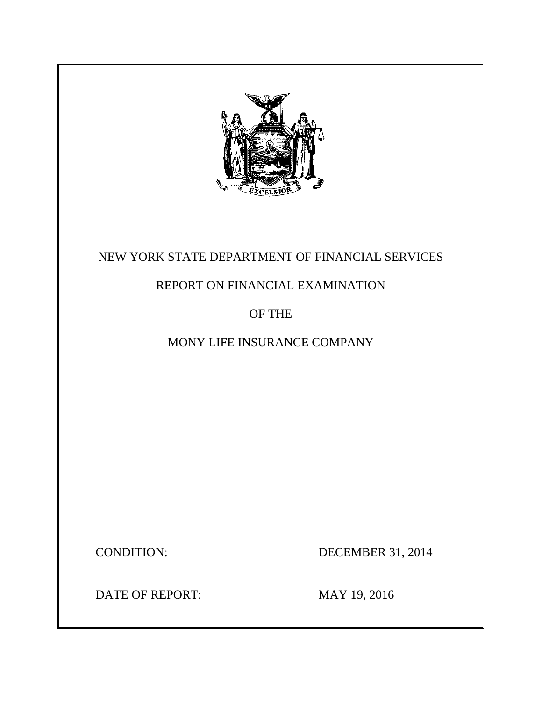

# NEW YORK STATE DEPARTMENT OF FINANCIAL SERVICES

# REPORT ON FINANCIAL EXAMINATION

## OF THE

# MONY LIFE INSURANCE COMPANY

**CONDITION:** 

DECEMBER 31, 2014

DATE OF REPORT: MAY 19, 2016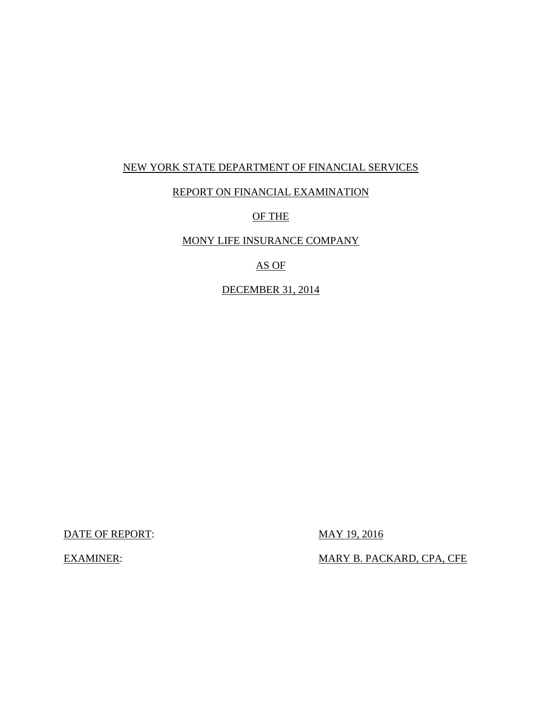### NEW YORK STATE DEPARTMENT OF FINANCIAL SERVICES

### REPORT ON FINANCIAL EXAMINATION

### OF THE

## MONY LIFE INSURANCE COMPANY

## AS OF

### DECEMBER 31, 2014

DATE OF REPORT: MAY 19, 2016

**EXAMINER:** 

MARY B. PACKARD, CPA, CFE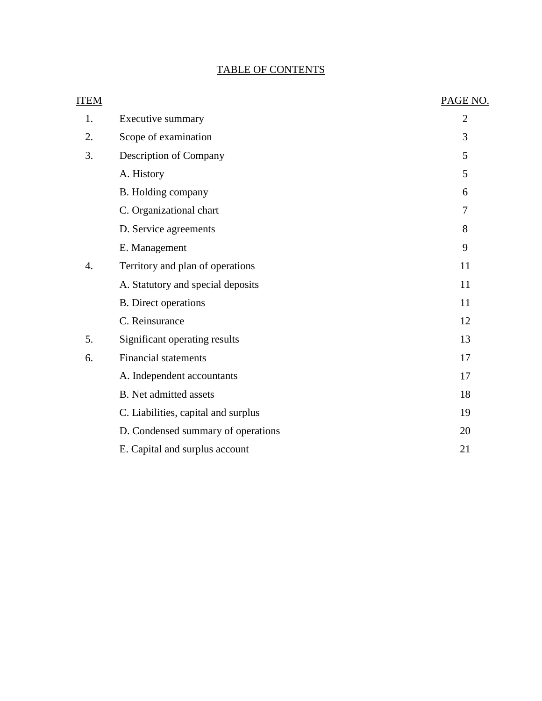## TABLE OF CONTENTS

| <b>ITEM</b>      |                                     | PAGE NO.       |
|------------------|-------------------------------------|----------------|
| 1.               | Executive summary                   | $\overline{2}$ |
| 2.               | Scope of examination                | 3              |
| 3.               | Description of Company              | 5              |
|                  | A. History                          | 5              |
|                  | B. Holding company                  | 6              |
|                  | C. Organizational chart             | 7              |
|                  | D. Service agreements               | 8              |
|                  | E. Management                       | 9              |
| $\overline{4}$ . | Territory and plan of operations    | 11             |
|                  | A. Statutory and special deposits   | 11             |
|                  | <b>B.</b> Direct operations         | 11             |
|                  | C. Reinsurance                      | 12             |
| 5.               | Significant operating results       | 13             |
| 6.               | <b>Financial statements</b>         | 17             |
|                  | A. Independent accountants          | 17             |
|                  | <b>B.</b> Net admitted assets       | 18             |
|                  | C. Liabilities, capital and surplus | 19             |
|                  | D. Condensed summary of operations  | 20             |
|                  | E. Capital and surplus account      | 21             |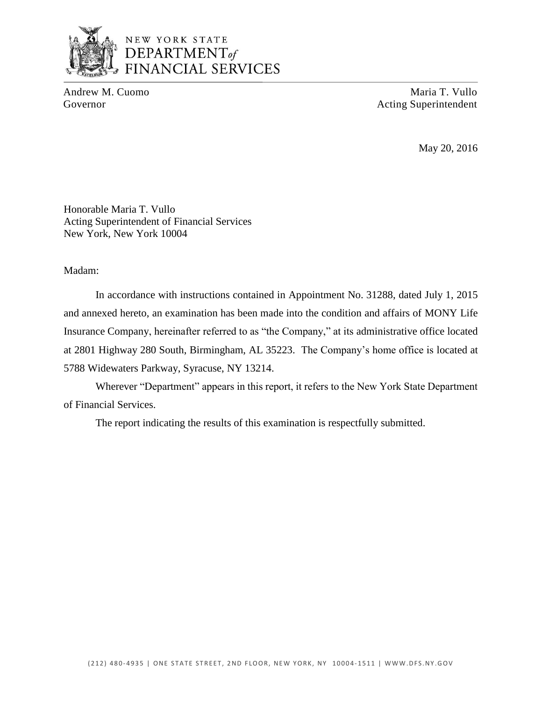

## NEW YORK STATE DEPARTMENT<sub>of</sub> **FINANCIAL SERVICES**

Andrew M. Cuomo **Maria T. Vullo** Maria T. Vullo Governor **Acting Superintendent** Acting Superintendent

May 20, 2016

Honorable Maria T. Vullo Acting Superintendent of Financial Services New York, New York 10004

Madam:

 In accordance with instructions contained in Appointment No. 31288, dated July 1, 2015 and annexed hereto, an examination has been made into the condition and affairs of MONY Life at 2801 Highway 280 South, Birmingham, AL 35223. The Company's home office is located at Insurance Company, hereinafter referred to as "the Company," at its administrative office located 5788 Widewaters Parkway, Syracuse, NY 13214.

 Wherever "Department" appears in this report, it refers to the New York State Department of Financial Services.

The report indicating the results of this examination is respectfully submitted.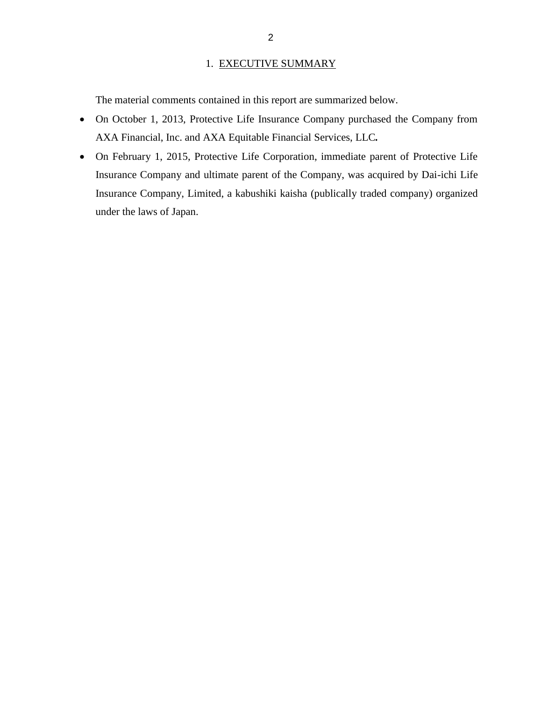#### 1. EXECUTIVE SUMMARY

<span id="page-4-0"></span>The material comments contained in this report are summarized below.

- On October 1, 2013, Protective Life Insurance Company purchased the Company from AXA Financial, Inc. and AXA Equitable Financial Services, LLC*.*
- On February 1, 2015, Protective Life Corporation, immediate parent of Protective Life Insurance Company and ultimate parent of the Company, was acquired by Dai-ichi Life Insurance Company, Limited, a kabushiki kaisha (publically traded company) organized under the laws of Japan.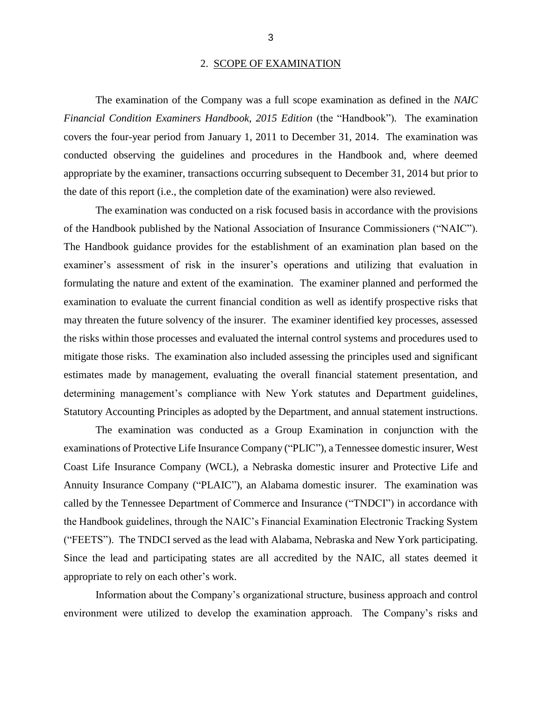#### 2. SCOPE OF EXAMINATION

<span id="page-5-0"></span> *Financial Condition Examiners Handbook, 2015 Edition* (the "Handbook")*.* The examination covers the four-year period from January 1, 2011 to December 31, 2014. The examination was conducted observing the guidelines and procedures in the Handbook and, where deemed appropriate by the examiner, transactions occurring subsequent to December 31, 2014 but prior to The examination of the Company was a full scope examination as defined in the *NAIC*  the date of this report (i.e., the completion date of the examination) were also reviewed.

 examiner's assessment of risk in the insurer's operations and utilizing that evaluation in formulating the nature and extent of the examination. The examiner planned and performed the examination to evaluate the current financial condition as well as identify prospective risks that may threaten the future solvency of the insurer. The examiner identified key processes, assessed mitigate those risks. The examination also included assessing the principles used and significant estimates made by management, evaluating the overall financial statement presentation, and Statutory Accounting Principles as adopted by the Department, and annual statement instructions. The examination was conducted on a risk focused basis in accordance with the provisions of the Handbook published by the National Association of Insurance Commissioners ("NAIC"). The Handbook guidance provides for the establishment of an examination plan based on the the risks within those processes and evaluated the internal control systems and procedures used to determining management's compliance with New York statutes and Department guidelines,

 The examination was conducted as a Group Examination in conjunction with the examinations of Protective Life Insurance Company ("PLIC"), a Tennessee domestic insurer, West Coast Life Insurance Company (WCL), a Nebraska domestic insurer and Protective Life and Annuity Insurance Company ("PLAIC"), an Alabama domestic insurer. The examination was called by the Tennessee Department of Commerce and Insurance ("TNDCI") in accordance with the Handbook guidelines, through the NAIC's Financial Examination Electronic Tracking System ("FEETS"). The TNDCI served as the lead with Alabama, Nebraska and New York participating. Since the lead and participating states are all accredited by the NAIC, all states deemed it appropriate to rely on each other's work.

 environment were utilized to develop the examination approach. The Company's risks and Information about the Company's organizational structure, business approach and control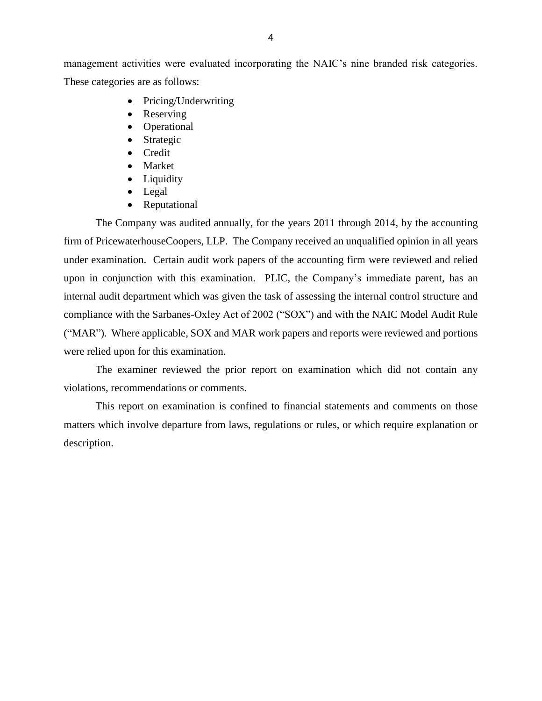management activities were evaluated incorporating the NAIC's nine branded risk categories. These categories are as follows:

- Pricing/Underwriting
- Reserving
- Operational
- Strategic
- Credit
- Market
- Liquidity
- Legal
- Reputational

 The Company was audited annually, for the years 2011 through 2014, by the accounting firm of PricewaterhouseCoopers, LLP. The Company received an unqualified opinion in all years under examination. Certain audit work papers of the accounting firm were reviewed and relied upon in conjunction with this examination. PLIC, the Company's immediate parent, has an ("MAR"). Where applicable, SOX and MAR work papers and reports were reviewed and portions internal audit department which was given the task of assessing the internal control structure and compliance with the Sarbanes-Oxley Act of 2002 ("SOX") and with the NAIC Model Audit Rule were relied upon for this examination.

The examiner reviewed the prior report on examination which did not contain any violations, recommendations or comments.

 matters which involve departure from laws, regulations or rules, or which require explanation or This report on examination is confined to financial statements and comments on those description.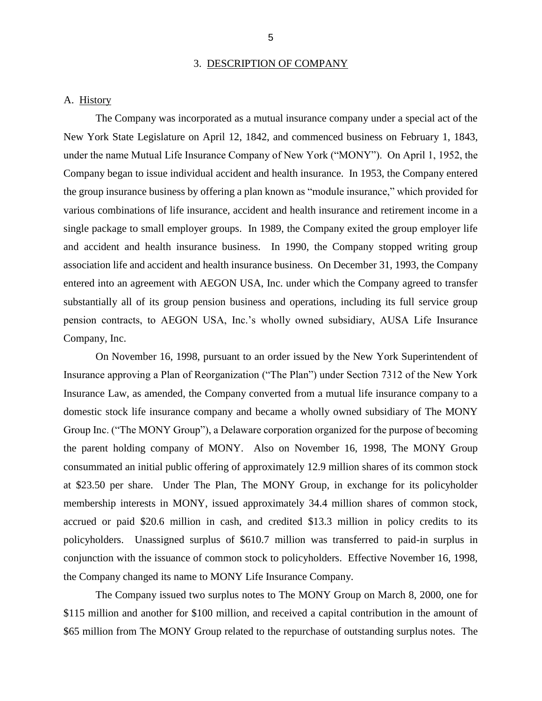#### 3. DESCRIPTION OF COMPANY

#### <span id="page-7-0"></span>A. History

 New York State Legislature on April 12, 1842, and commenced business on February 1, 1843, under the name Mutual Life Insurance Company of New York ("MONY"). On April 1, 1952, the the group insurance business by offering a plan known as "module insurance," which provided for various combinations of life insurance, accident and health insurance and retirement income in a and accident and health insurance business. In 1990, the Company stopped writing group association life and accident and health insurance business. On December 31, 1993, the Company substantially all of its group pension business and operations, including its full service group pension contracts, to AEGON USA, Inc.'s wholly owned subsidiary, AUSA Life Insurance The Company was incorporated as a mutual insurance company under a special act of the Company began to issue individual accident and health insurance. In 1953, the Company entered single package to small employer groups. In 1989, the Company exited the group employer life entered into an agreement with AEGON USA, Inc. under which the Company agreed to transfer Company, Inc.

 Insurance approving a Plan of Reorganization ("The Plan") under Section 7312 of the New York Insurance Law, as amended, the Company converted from a mutual life insurance company to a domestic stock life insurance company and became a wholly owned subsidiary of The MONY Group Inc. ("The MONY Group"), a Delaware corporation organized for the purpose of becoming the parent holding company of MONY. Also on November 16, 1998, The MONY Group consummated an initial public offering of approximately 12.9 million shares of its common stock at \$23.50 per share. Under The Plan, The MONY Group, in exchange for its policyholder membership interests in MONY, issued approximately 34.4 million shares of common stock, accrued or paid \$20.6 million in cash, and credited \$13.3 million in policy credits to its policyholders. Unassigned surplus of \$610.7 million was transferred to paid-in surplus in conjunction with the issuance of common stock to policyholders. Effective November 16, 1998, On November 16, 1998, pursuant to an order issued by the New York Superintendent of the Company changed its name to MONY Life Insurance Company.

 \$115 million and another for \$100 million, and received a capital contribution in the amount of \$65 million from The MONY Group related to the repurchase of outstanding surplus notes. The The Company issued two surplus notes to The MONY Group on March 8, 2000, one for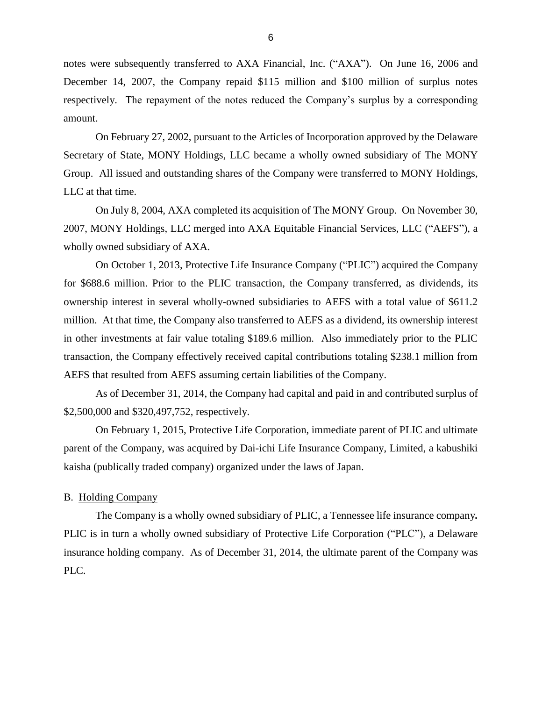<span id="page-8-0"></span> notes were subsequently transferred to AXA Financial, Inc. ("AXA"). On June 16, 2006 and respectively. The repayment of the notes reduced the Company's surplus by a corresponding December 14, 2007, the Company repaid \$115 million and \$100 million of surplus notes amount.

 Secretary of State, MONY Holdings, LLC became a wholly owned subsidiary of The MONY Group. All issued and outstanding shares of the Company were transferred to MONY Holdings, On February 27, 2002, pursuant to the Articles of Incorporation approved by the Delaware LLC at that time.

 On July 8, 2004, AXA completed its acquisition of The MONY Group. On November 30, 2007, MONY Holdings, LLC merged into AXA Equitable Financial Services, LLC ("AEFS"), a wholly owned subsidiary of AXA.

 On October 1, 2013, Protective Life Insurance Company ("PLIC") acquired the Company for \$688.6 million. Prior to the PLIC transaction, the Company transferred, as dividends, its ownership interest in several wholly-owned subsidiaries to AEFS with a total value of \$611.2 in other investments at fair value totaling \$189.6 million. Also immediately prior to the PLIC transaction, the Company effectively received capital contributions totaling \$238.1 million from million. At that time, the Company also transferred to AEFS as a dividend, its ownership interest AEFS that resulted from AEFS assuming certain liabilities of the Company.

As of December 31, 2014, the Company had capital and paid in and contributed surplus of \$2,500,000 and \$320,497,752, respectively.

 On February 1, 2015, Protective Life Corporation, immediate parent of PLIC and ultimate parent of the Company, was acquired by Dai-ichi Life Insurance Company, Limited, a kabushiki kaisha (publically traded company) organized under the laws of Japan.

#### B. Holding Company

 PLIC is in turn a wholly owned subsidiary of Protective Life Corporation ("PLC"), a Delaware insurance holding company. As of December 31, 2014, the ultimate parent of the Company was The Company is a wholly owned subsidiary of PLIC, a Tennessee life insurance company*.*  PLC.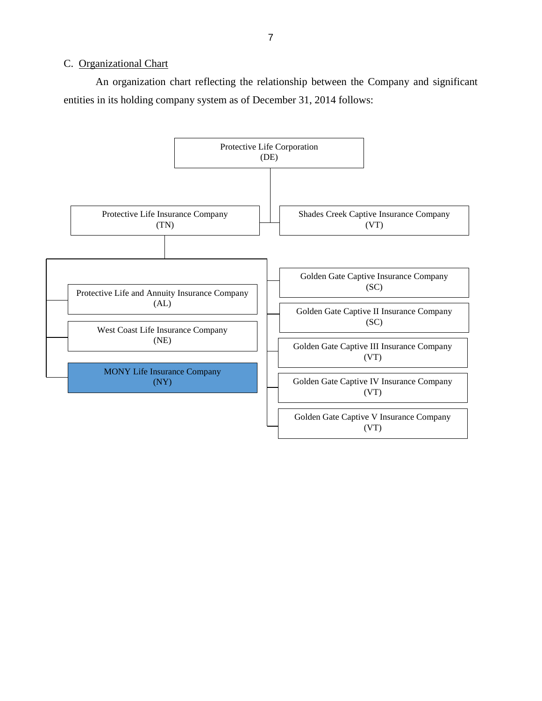#### <span id="page-9-0"></span>C. Organizational Chart

 An organization chart reflecting the relationship between the Company and significant entities in its holding company system as of December 31, 2014 follows:

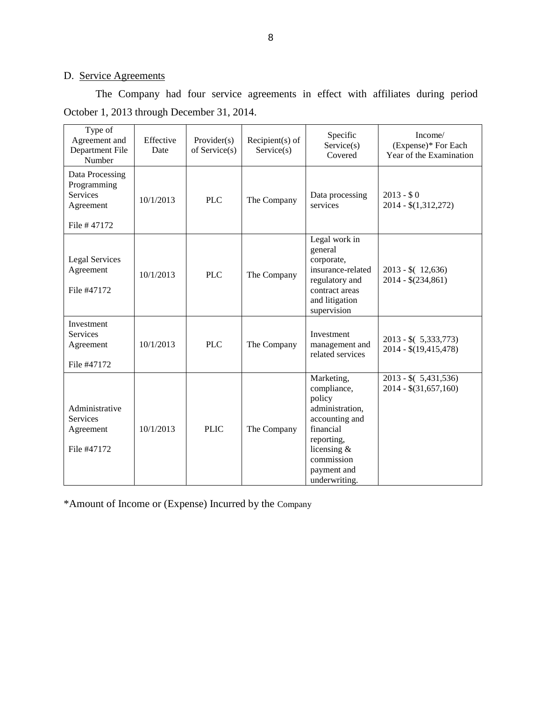## D. Service Agreements

The Company had four service agreements in effect with affiliates during period October 1, 2013 through December 31, 2014.

| Type of<br>Agreement and<br>Department File<br>Number                         | Effective<br>Date | Provider(s)<br>of Service(s) | $Recipient(s)$ of<br>Service(s) | Specific<br>Service(s)<br>Covered                                                                                                                                   | Income/<br>(Expense)* For Each<br>Year of the Examination |
|-------------------------------------------------------------------------------|-------------------|------------------------------|---------------------------------|---------------------------------------------------------------------------------------------------------------------------------------------------------------------|-----------------------------------------------------------|
| Data Processing<br>Programming<br><b>Services</b><br>Agreement<br>File #47172 | 10/1/2013         | <b>PLC</b>                   | The Company                     | Data processing<br>services                                                                                                                                         | $2013 - $0$<br>$2014 - $(1,312,272)$                      |
| <b>Legal Services</b><br>Agreement<br>File #47172                             | 10/1/2013         | <b>PLC</b>                   | The Company                     | Legal work in<br>general<br>corporate,<br>insurance-related<br>regulatory and<br>contract areas<br>and litigation<br>supervision                                    | $2013 - $(12,636)$<br>$2014 - $(234, 861)$                |
| Investment<br><b>Services</b><br>Agreement<br>File #47172                     | 10/1/2013         | <b>PLC</b>                   | The Company                     | Investment<br>management and<br>related services                                                                                                                    | $2013 - $(5,333,773)$<br>$2014 - $(19,415,478)$           |
| Administrative<br><b>Services</b><br>Agreement<br>File #47172                 | 10/1/2013         | <b>PLIC</b>                  | The Company                     | Marketing,<br>compliance,<br>policy<br>administration,<br>accounting and<br>financial<br>reporting,<br>licensing $\&$<br>commission<br>payment and<br>underwriting. | $2013 - $(5,431,536)$<br>$2014 - $(31,657,160)$           |

\*Amount of Income or (Expense) Incurred by the Company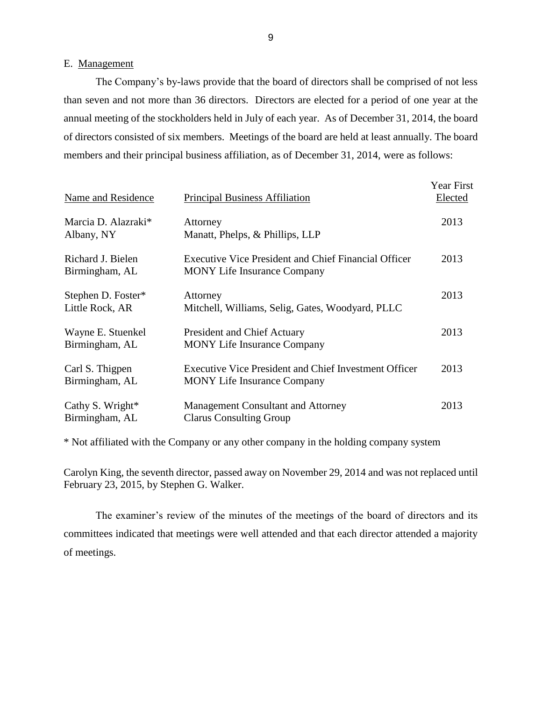#### E. Management

 The Company's by-laws provide that the board of directors shall be comprised of not less than seven and not more than 36 directors. Directors are elected for a period of one year at the of directors consisted of six members. Meetings of the board are held at least annually. The board members and their principal business affiliation, as of December 31, 2014, were as follows: annual meeting of the stockholders held in July of each year. As of December 31, 2014, the board

| Name and Residence                    | <b>Principal Business Affiliation</b>                                                              | Year First<br>Elected |
|---------------------------------------|----------------------------------------------------------------------------------------------------|-----------------------|
| Marcia D. Alazraki*<br>Albany, NY     | Attorney<br>Manatt, Phelps, & Phillips, LLP                                                        | 2013                  |
| Richard J. Bielen<br>Birmingham, AL   | <b>Executive Vice President and Chief Financial Officer</b><br><b>MONY</b> Life Insurance Company  | 2013                  |
| Stephen D. Foster*<br>Little Rock, AR | Attorney<br>Mitchell, Williams, Selig, Gates, Woodyard, PLLC                                       | 2013                  |
| Wayne E. Stuenkel<br>Birmingham, AL   | <b>President and Chief Actuary</b><br><b>MONY</b> Life Insurance Company                           | 2013                  |
| Carl S. Thigpen<br>Birmingham, AL     | <b>Executive Vice President and Chief Investment Officer</b><br><b>MONY</b> Life Insurance Company | 2013                  |
| Cathy S. Wright $*$<br>Birmingham, AL | <b>Management Consultant and Attorney</b><br><b>Clarus Consulting Group</b>                        | 2013                  |

\* Not affiliated with the Company or any other company in the holding company system

 Carolyn King, the seventh director, passed away on November 29, 2014 and was not replaced until February 23, 2015, by Stephen G. Walker.

 committees indicated that meetings were well attended and that each director attended a majority The examiner's review of the minutes of the meetings of the board of directors and its of meetings.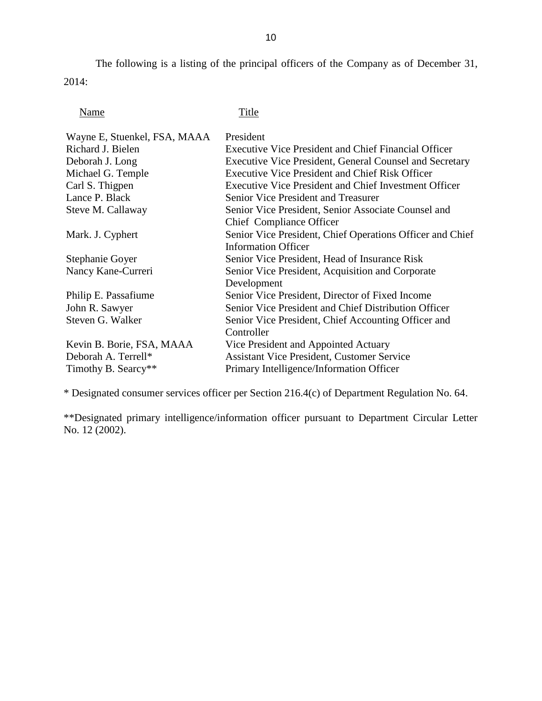The following is a listing of the principal officers of the Company as of December 31, 2014:

Name Title

| President                                                      |
|----------------------------------------------------------------|
| <b>Executive Vice President and Chief Financial Officer</b>    |
| <b>Executive Vice President, General Counsel and Secretary</b> |
| <b>Executive Vice President and Chief Risk Officer</b>         |
| <b>Executive Vice President and Chief Investment Officer</b>   |
| <b>Senior Vice President and Treasurer</b>                     |
| Senior Vice President, Senior Associate Counsel and            |
| Chief Compliance Officer                                       |
| Senior Vice President, Chief Operations Officer and Chief      |
| <b>Information Officer</b>                                     |
| Senior Vice President, Head of Insurance Risk                  |
| Senior Vice President, Acquisition and Corporate               |
| Development                                                    |
| Senior Vice President, Director of Fixed Income                |
| Senior Vice President and Chief Distribution Officer           |
| Senior Vice President, Chief Accounting Officer and            |
| Controller                                                     |
| Vice President and Appointed Actuary                           |
| <b>Assistant Vice President, Customer Service</b>              |
| Primary Intelligence/Information Officer                       |
|                                                                |

\* Designated consumer services officer per Section 216.4(c) of Department Regulation No. 64.

 \*\*Designated primary intelligence/information officer pursuant to Department Circular Letter No. 12 (2002).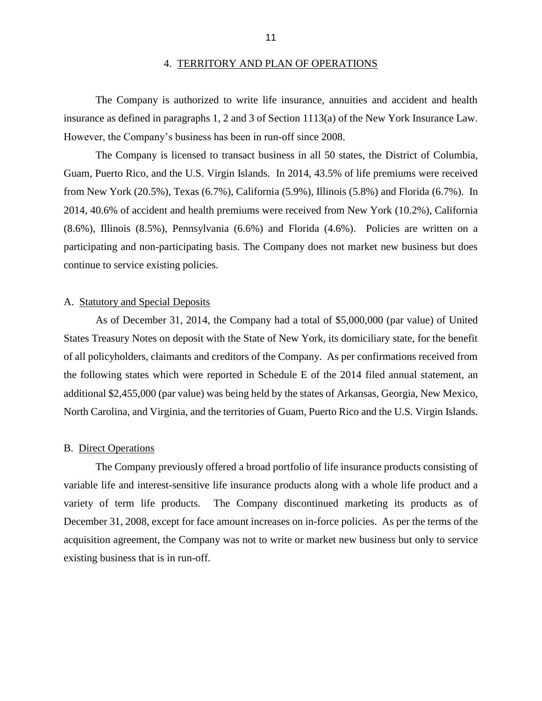#### 4. TERRITORY AND PLAN OF OPERATIONS

<span id="page-13-0"></span> insurance as defined in paragraphs 1, 2 and 3 of Section 1113(a) of the New York Insurance Law. However, the Company's business has been in run-off since 2008. The Company is authorized to write life insurance, annuities and accident and health

 Guam, Puerto Rico, and the U.S. Virgin Islands. In 2014, 43.5% of life premiums were received from New York (20.5%), Texas (6.7%), California (5.9%), Illinois (5.8%) and Florida (6.7%). In (8.6%), Illinois (8.5%), Pennsylvania (6.6%) and Florida (4.6%). Policies are written on a participating and non-participating basis. The Company does not market new business but does The Company is licensed to transact business in all 50 states, the District of Columbia, 2014, 40.6% of accident and health premiums were received from New York (10.2%), California continue to service existing policies.

#### A. Statutory and Special Deposits

 As of December 31, 2014, the Company had a total of \$5,000,000 (par value) of United States Treasury Notes on deposit with the State of New York, its domiciliary state, for the benefit of all policyholders, claimants and creditors of the Company. As per confirmations received from the following states which were reported in Schedule E of the 2014 filed annual statement, an additional \$2,455,000 (par value) was being held by the states of Arkansas, Georgia, New Mexico, North Carolina, and Virginia, and the territories of Guam, Puerto Rico and the U.S. Virgin Islands.

#### B. Direct Operations

 variable life and interest-sensitive life insurance products along with a whole life product and a variety of term life products. The Company discontinued marketing its products as of December 31, 2008, except for face amount increases on in-force policies. As per the terms of the acquisition agreement, the Company was not to write or market new business but only to service The Company previously offered a broad portfolio of life insurance products consisting of existing business that is in run-off.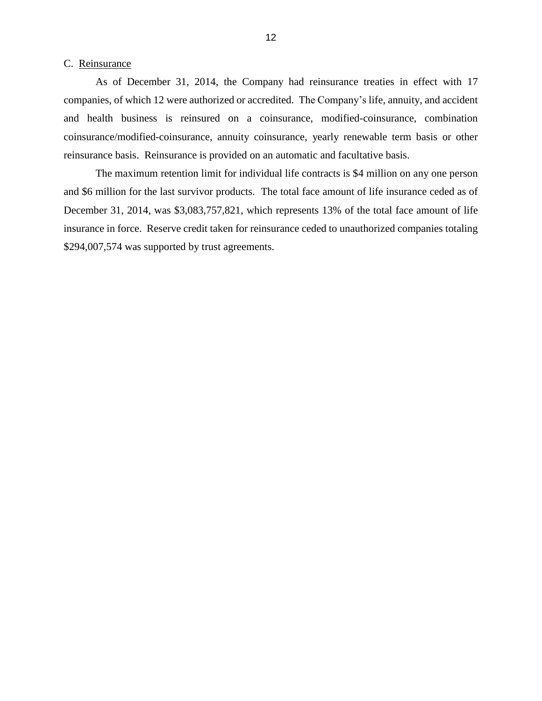#### <span id="page-14-0"></span>C. Reinsurance

 As of December 31, 2014, the Company had reinsurance treaties in effect with 17 companies, of which 12 were authorized or accredited. The Company's life, annuity, and accident coinsurance/modified-coinsurance, annuity coinsurance, yearly renewable term basis or other reinsurance basis. Reinsurance is provided on an automatic and facultative basis. and health business is reinsured on a coinsurance, modified-coinsurance, combination

 and \$6 million for the last survivor products. The total face amount of life insurance ceded as of December 31, 2014, was \$3,083,757,821, which represents 13% of the total face amount of life insurance in force. Reserve credit taken for reinsurance ceded to unauthorized companies totaling The maximum retention limit for individual life contracts is \$4 million on any one person \$294,007,574 was supported by trust agreements.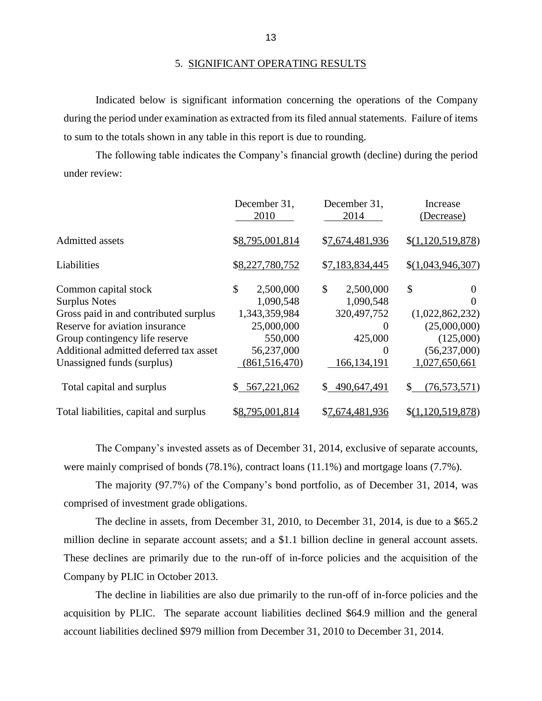Indicated below is significant information concerning the operations of the Company during the period under examination as extracted from its filed annual statements. Failure of items to sum to the totals shown in any table in this report is due to rounding.

 The following table indicates the Company's financial growth (decline) during the period under review:

|                                        | December 31,<br>2010 | December 31,<br>2014 | Increase<br>(Decrease) |
|----------------------------------------|----------------------|----------------------|------------------------|
| <b>Admitted assets</b>                 | \$8,795,001,814      | \$7,674,481,936      | \$(1,120,519,878)      |
| Liabilities                            | \$8,227,780,752      | \$7,183,834,445      | \$(1,043,946,307)      |
| Common capital stock                   | \$<br>2,500,000      | \$<br>2,500,000      | \$<br>0                |
| <b>Surplus Notes</b>                   | 1,090,548            | 1,090,548            |                        |
| Gross paid in and contributed surplus  | 1,343,359,984        | 320, 497, 752        | (1,022,862,232)        |
| Reserve for aviation insurance         | 25,000,000           | $\theta$             | (25,000,000)           |
| Group contingency life reserve         | 550,000              | 425,000              | (125,000)              |
| Additional admitted deferred tax asset | 56,237,000           | $\theta$             | (56, 237, 000)         |
| Unassigned funds (surplus)             | (861, 516, 470)      | 166, 134, 191        | 1,027,650,661          |
| Total capital and surplus              | 567,221,062<br>\$    | 490,647,491          | \$<br>(76, 573, 571)   |
| Total liabilities, capital and surplus | \$8,795,001,814      | \$7,674,481,936      | \$(1,120,519,878)      |

 The Company's invested assets as of December 31, 2014, exclusive of separate accounts, were mainly comprised of bonds (78.1%), contract loans (11.1%) and mortgage loans (7.7%).

The majority (97.7%) of the Company's bond portfolio, as of December 31, 2014, was comprised of investment grade obligations.

 million decline in separate account assets; and a \$1.1 billion decline in general account assets. These declines are primarily due to the run-off of in-force policies and the acquisition of the The decline in assets, from December 31, 2010, to December 31, 2014, is due to a \$65.2 Company by PLIC in October 2013.

 acquisition by PLIC. The separate account liabilities declined \$64.9 million and the general The decline in liabilities are also due primarily to the run-off of in-force policies and the account liabilities declined \$979 million from December 31, 2010 to December 31, 2014.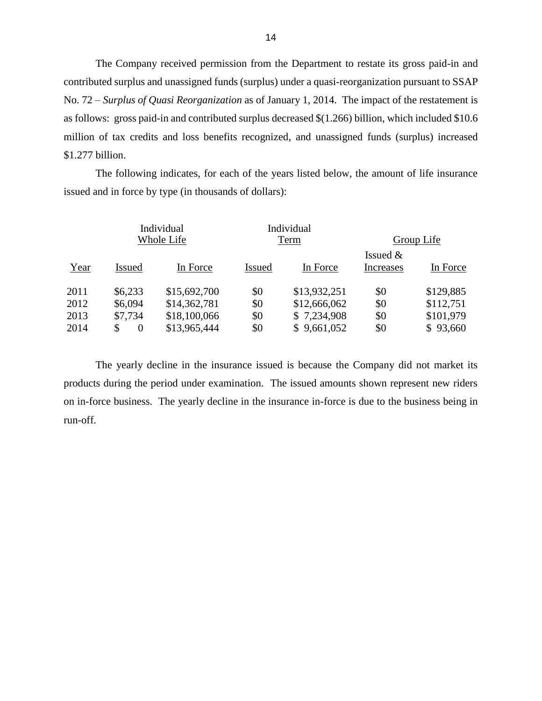contributed surplus and unassigned funds (surplus) under a quasi-reorganization pursuant to SSAP No. 72 – *Surplus of Quasi Reorganization* as of January 1, 2014. The impact of the restatement is \$1.277 billion. The Company received permission from the Department to restate its gross paid-in and as follows: gross paid-in and contributed surplus decreased \$(1.266) billion, which included \$10.6 million of tax credits and loss benefits recognized, and unassigned funds (surplus) increased

The following indicates, for each of the years listed below, the amount of life insurance issued and in force by type (in thousands of dollars):

|      | Individual<br>Whole Life |              |               | Individual<br>Term |                                | Group Life |  |
|------|--------------------------|--------------|---------------|--------------------|--------------------------------|------------|--|
| Year | <b>Issued</b>            | In Force     | <b>Issued</b> | In Force           | Issued $&$<br><b>Increases</b> | In Force   |  |
| 2011 | \$6,233                  | \$15,692,700 | \$0           | \$13,932,251       | \$0                            | \$129,885  |  |
| 2012 | \$6,094                  | \$14,362,781 | \$0           | \$12,666,062       | \$0                            | \$112,751  |  |
| 2013 | \$7,734                  | \$18,100,066 | \$0           | \$7,234,908        | \$0                            | \$101,979  |  |
| 2014 | \$<br>$\overline{0}$     | \$13,965,444 | \$0           | \$9,661,052        | \$0                            | \$93,660   |  |

 products during the period under examination. The issued amounts shown represent new riders on in-force business. The yearly decline in the insurance in-force is due to the business being in The yearly decline in the insurance issued is because the Company did not market its run-off.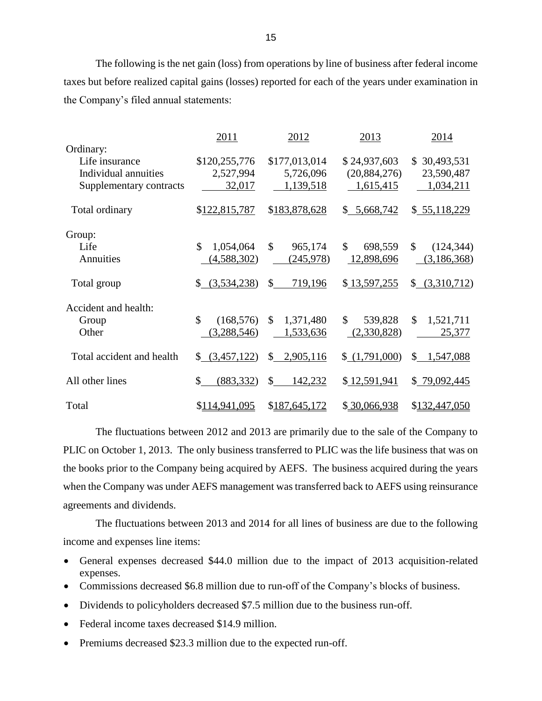The following is the net gain (loss) from operations by line of business after federal income taxes but before realized capital gains (losses) reported for each of the years under examination in the Company's filed annual statements:

|                           | 2011                       | 2012                      | 2013           | 2014                      |
|---------------------------|----------------------------|---------------------------|----------------|---------------------------|
| Ordinary:                 |                            |                           |                |                           |
| Life insurance            | \$120,255,776              | \$177,013,014             | \$24,937,603   | \$30,493,531              |
| Individual annuities      | 2,527,994                  | 5,726,096                 | (20, 884, 276) | 23,590,487                |
| Supplementary contracts   | 32,017                     | 1,139,518                 | 1,615,415      | 1,034,211                 |
| Total ordinary            | \$122,815,787              | \$183,878,628             | \$5,668,742    | \$55,118,229              |
| Group:                    |                            |                           |                |                           |
| Life                      | \$<br>1,054,064            | $\mathcal{S}$<br>965,174  | \$<br>698,559  | \$<br>(124, 344)          |
| Annuities                 | (4,588,302)                | (245,978)                 | 12,898,696     | (3,186,368)               |
| Total group               | \$ (3,534,238)             | $\mathbb{S}^-$<br>719,196 | \$13,597,255   | \$ (3,310,712)            |
| Accident and health:      |                            |                           |                |                           |
| Group                     | $\mathbb{S}$<br>(168, 576) | $\mathbb{S}$<br>1,371,480 | \$<br>539,828  | $\mathbb{S}$<br>1,521,711 |
| Other                     | (3,288,546)                | 1,533,636                 | (2,330,828)    | 25,377                    |
| Total accident and health | (3,457,122)<br>\$          | $\mathbb{S}$<br>2,905,116 | (1,791,000)    | \$1,547,088               |
| All other lines           | \$<br>(883, 332)           | $\mathbb{S}$<br>142,232   | \$12,591,941   | \$79,092,445              |
| Total                     | \$114,941,095              | \$187,645,172             | \$30,066,938   | \$132,447,050             |

 The fluctuations between 2012 and 2013 are primarily due to the sale of the Company to PLIC on October 1, 2013. The only business transferred to PLIC was the life business that was on the books prior to the Company being acquired by AEFS. The business acquired during the years when the Company was under AEFS management was transferred back to AEFS using reinsurance agreements and dividends.

 The fluctuations between 2013 and 2014 for all lines of business are due to the following income and expenses line items:

- General expenses decreased \$44.0 million due to the impact of 2013 acquisition-related expenses.
- Commissions decreased \$6.8 million due to run-off of the Company's blocks of business.
- Dividends to policyholders decreased \$7.5 million due to the business run-off.
- Federal income taxes decreased \$14.9 million.
- Premiums decreased \$23.3 million due to the expected run-off.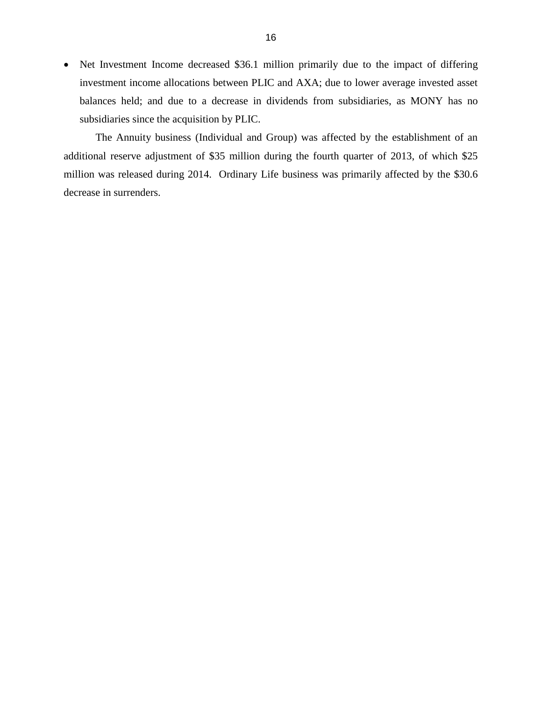• Net Investment Income decreased \$36.1 million primarily due to the impact of differing investment income allocations between PLIC and AXA; due to lower average invested asset balances held; and due to a decrease in dividends from subsidiaries, as MONY has no subsidiaries since the acquisition by PLIC.

 additional reserve adjustment of \$35 million during the fourth quarter of 2013, of which \$25 million was released during 2014. Ordinary Life business was primarily affected by the \$30.6 The Annuity business (Individual and Group) was affected by the establishment of an decrease in surrenders.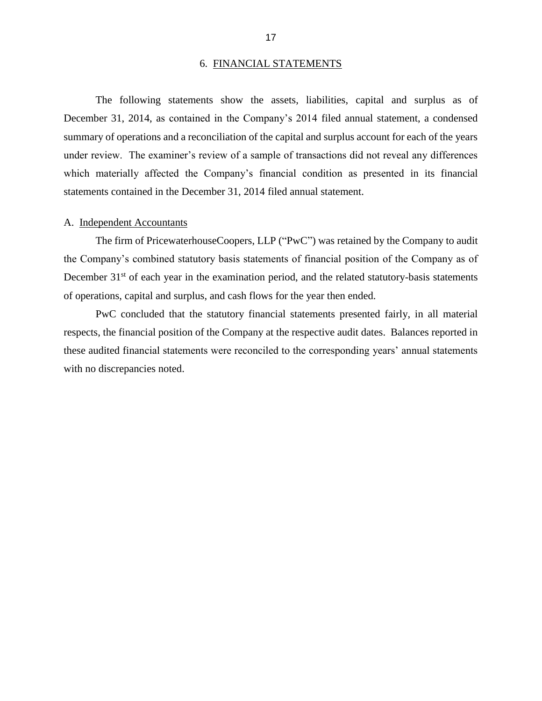#### 6. FINANCIAL STATEMENTS

<span id="page-19-0"></span> December 31, 2014, as contained in the Company's 2014 filed annual statement, a condensed summary of operations and a reconciliation of the capital and surplus account for each of the years under review. The examiner's review of a sample of transactions did not reveal any differences The following statements show the assets, liabilities, capital and surplus as of which materially affected the Company's financial condition as presented in its financial statements contained in the December 31, 2014 filed annual statement.

#### A. Independent Accountants

 the Company's combined statutory basis statements of financial position of the Company as of The firm of PricewaterhouseCoopers, LLP ("PwC") was retained by the Company to audit December  $31<sup>st</sup>$  of each year in the examination period, and the related statutory-basis statements of operations, capital and surplus, and cash flows for the year then ended.

 respects, the financial position of the Company at the respective audit dates. Balances reported in these audited financial statements were reconciled to the corresponding years' annual statements PwC concluded that the statutory financial statements presented fairly, in all material with no discrepancies noted.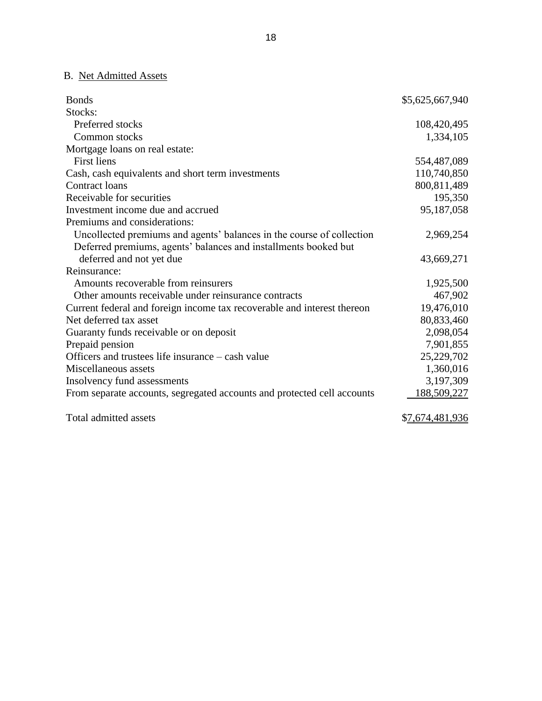## B. Net Admitted Assets

| <b>Bonds</b>                                                            | \$5,625,667,940 |
|-------------------------------------------------------------------------|-----------------|
| Stocks:                                                                 |                 |
| Preferred stocks                                                        | 108,420,495     |
| Common stocks                                                           | 1,334,105       |
| Mortgage loans on real estate:                                          |                 |
| <b>First liens</b>                                                      | 554,487,089     |
| Cash, cash equivalents and short term investments                       | 110,740,850     |
| <b>Contract loans</b>                                                   | 800,811,489     |
| Receivable for securities                                               | 195,350         |
| Investment income due and accrued                                       | 95,187,058      |
| Premiums and considerations:                                            |                 |
| Uncollected premiums and agents' balances in the course of collection   | 2,969,254       |
| Deferred premiums, agents' balances and installments booked but         |                 |
| deferred and not yet due                                                | 43,669,271      |
| Reinsurance:                                                            |                 |
| Amounts recoverable from reinsurers                                     | 1,925,500       |
| Other amounts receivable under reinsurance contracts                    | 467,902         |
| Current federal and foreign income tax recoverable and interest thereon | 19,476,010      |
| Net deferred tax asset                                                  | 80,833,460      |
| Guaranty funds receivable or on deposit                                 | 2,098,054       |
| Prepaid pension                                                         | 7,901,855       |
| Officers and trustees life insurance – cash value                       | 25,229,702      |
| Miscellaneous assets                                                    | 1,360,016       |
| Insolvency fund assessments                                             | 3,197,309       |
| From separate accounts, segregated accounts and protected cell accounts | 188,509,227     |
| Total admitted assets                                                   | \$7,674,481,936 |

18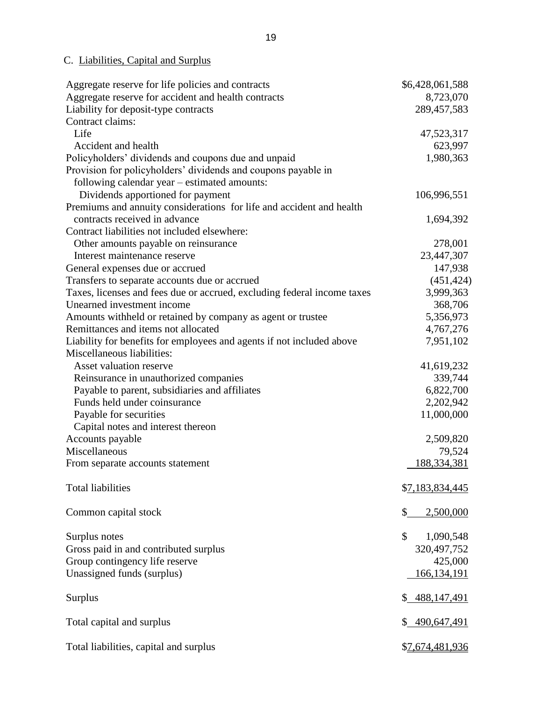## C. Liabilities, Capital and Surplus

| Aggregate reserve for life policies and contracts                       | \$6,428,061,588 |
|-------------------------------------------------------------------------|-----------------|
| Aggregate reserve for accident and health contracts                     | 8,723,070       |
| Liability for deposit-type contracts                                    | 289,457,583     |
| Contract claims:                                                        |                 |
| Life                                                                    | 47,523,317      |
| Accident and health                                                     | 623,997         |
| Policyholders' dividends and coupons due and unpaid                     | 1,980,363       |
| Provision for policyholders' dividends and coupons payable in           |                 |
| following calendar year – estimated amounts:                            |                 |
| Dividends apportioned for payment                                       | 106,996,551     |
| Premiums and annuity considerations for life and accident and health    |                 |
| contracts received in advance                                           | 1,694,392       |
| Contract liabilities not included elsewhere:                            |                 |
| Other amounts payable on reinsurance                                    | 278,001         |
| Interest maintenance reserve                                            | 23,447,307      |
| General expenses due or accrued                                         | 147,938         |
| Transfers to separate accounts due or accrued                           | (451, 424)      |
| Taxes, licenses and fees due or accrued, excluding federal income taxes | 3,999,363       |
| Unearned investment income                                              | 368,706         |
| Amounts withheld or retained by company as agent or trustee             | 5,356,973       |
| Remittances and items not allocated                                     | 4,767,276       |
| Liability for benefits for employees and agents if not included above   | 7,951,102       |
| Miscellaneous liabilities:                                              |                 |
| Asset valuation reserve                                                 | 41,619,232      |
| Reinsurance in unauthorized companies                                   | 339,744         |
| Payable to parent, subsidiaries and affiliates                          | 6,822,700       |
| Funds held under coinsurance                                            | 2,202,942       |
| Payable for securities                                                  | 11,000,000      |
| Capital notes and interest thereon                                      |                 |
| Accounts payable                                                        | 2,509,820       |
| Miscellaneous                                                           | 79,524          |
| From separate accounts statement                                        | 188,334,381     |
|                                                                         |                 |
| <b>Total liabilities</b>                                                | \$7,183,834,445 |
|                                                                         |                 |
| Common capital stock                                                    | \$<br>2,500,000 |
|                                                                         |                 |
| Surplus notes                                                           | \$<br>1,090,548 |
| Gross paid in and contributed surplus                                   | 320, 497, 752   |
| Group contingency life reserve                                          | 425,000         |
| Unassigned funds (surplus)                                              | 166,134,191     |
|                                                                         |                 |
| Surplus                                                                 | \$ 488,147,491  |
|                                                                         |                 |
| Total capital and surplus                                               | \$490,647,491   |
|                                                                         |                 |
| Total liabilities, capital and surplus                                  | \$7,674,481,936 |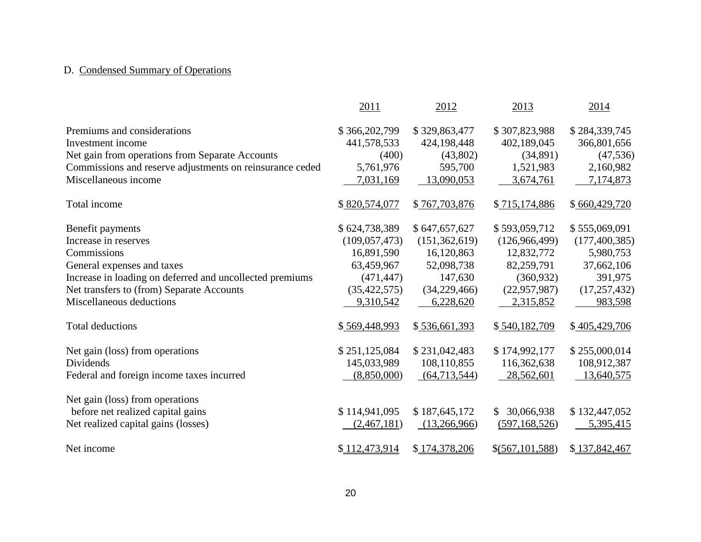# D. Condensed Summary of Operations

|                                                          | 2011            | 2012            | 2013             | 2014            |
|----------------------------------------------------------|-----------------|-----------------|------------------|-----------------|
| Premiums and considerations                              | \$366,202,799   | \$329,863,477   | \$307,823,988    | \$284,339,745   |
| Investment income                                        | 441,578,533     | 424,198,448     | 402,189,045      | 366,801,656     |
| Net gain from operations from Separate Accounts          | (400)           | (43,802)        | (34,891)         | (47, 536)       |
| Commissions and reserve adjustments on reinsurance ceded | 5,761,976       | 595,700         | 1,521,983        | 2,160,982       |
| Miscellaneous income                                     | 7,031,169       | 13,090,053      | 3,674,761        | 7,174,873       |
| Total income                                             | \$820,574,077   | \$767,703,876   | \$715,174,886    | \$660,429,720   |
| Benefit payments                                         | \$624,738,389   | \$647,657,627   | \$593,059,712    | \$555,069,091   |
| Increase in reserves                                     | (109, 057, 473) | (151, 362, 619) | (126,966,499)    | (177, 400, 385) |
| Commissions                                              | 16,891,590      | 16,120,863      | 12,832,772       | 5,980,753       |
| General expenses and taxes                               | 63,459,967      | 52,098,738      | 82,259,791       | 37,662,106      |
| Increase in loading on deferred and uncollected premiums | (471, 447)      | 147,630         | (360, 932)       | 391,975         |
| Net transfers to (from) Separate Accounts                | (35, 422, 575)  | (34,229,466)    | (22, 957, 987)   | (17, 257, 432)  |
| Miscellaneous deductions                                 | 9,310,542       | 6,228,620       | 2,315,852        | 983,598         |
| <b>Total deductions</b>                                  | \$569,448,993   | \$536,661,393   | \$540,182,709    | \$405,429,706   |
| Net gain (loss) from operations                          | \$251,125,084   | \$231,042,483   | \$174,992,177    | \$255,000,014   |
| Dividends                                                | 145,033,989     | 108,110,855     | 116,362,638      | 108,912,387     |
| Federal and foreign income taxes incurred                | (8,850,000)     | (64, 713, 544)  | 28,562,601       | 13,640,575      |
| Net gain (loss) from operations                          |                 |                 |                  |                 |
| before net realized capital gains                        | \$114,941,095   | \$187,645,172   | 30,066,938<br>\$ | \$132,447,052   |
| Net realized capital gains (losses)                      | (2,467,181)     | (13,266,966)    | (597, 168, 526)  | 5,395,415       |
| Net income                                               | \$112,473,914   | \$174,378,206   | \$(567,101,588)  | \$137,842,467   |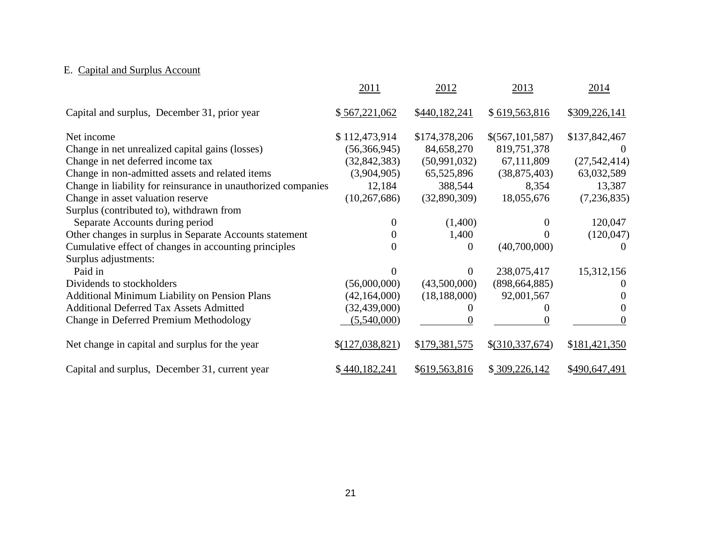# E. Capital and Surplus Account

|                                                               | 2011            | 2012           | 2013            | 2014           |
|---------------------------------------------------------------|-----------------|----------------|-----------------|----------------|
| Capital and surplus, December 31, prior year                  | \$567,221,062   | \$440,182,241  | \$619,563,816   | \$309,226,141  |
| Net income                                                    | \$112,473,914   | \$174,378,206  | \$(567,101,587) | \$137,842,467  |
| Change in net unrealized capital gains (losses)               | (56,366,945)    | 84,658,270     | 819,751,378     |                |
| Change in net deferred income tax                             | (32, 842, 383)  | (50, 991, 032) | 67,111,809      | (27, 542, 414) |
| Change in non-admitted assets and related items               | (3,904,905)     | 65,525,896     | (38,875,403)    | 63,032,589     |
| Change in liability for reinsurance in unauthorized companies | 12,184          | 388,544        | 8,354           | 13,387         |
| Change in asset valuation reserve                             | (10, 267, 686)  | (32,890,309)   | 18,055,676      | (7,236,835)    |
| Surplus (contributed to), withdrawn from                      |                 |                |                 |                |
| Separate Accounts during period                               | 0               | (1,400)        |                 | 120,047        |
| Other changes in surplus in Separate Accounts statement       |                 | 1,400          |                 | (120, 047)     |
| Cumulative effect of changes in accounting principles         | 0               | $\theta$       | (40,700,000)    |                |
| Surplus adjustments:                                          |                 |                |                 |                |
| Paid in                                                       |                 | $\theta$       | 238,075,417     | 15,312,156     |
| Dividends to stockholders                                     | (56,000,000)    | (43,500,000)   | (898, 664, 885) |                |
| <b>Additional Minimum Liability on Pension Plans</b>          | (42, 164, 000)  | (18, 188, 000) | 92,001,567      |                |
| <b>Additional Deferred Tax Assets Admitted</b>                | (32, 439, 000)  |                |                 |                |
| Change in Deferred Premium Methodology                        | (5,540,000)     |                |                 | $\theta$       |
| Net change in capital and surplus for the year                | \$(127,038,821) | \$179,381,575  | \$(310,337,674) | \$181,421,350  |
| Capital and surplus, December 31, current year                | \$440,182,241   | \$619,563,816  | \$309,226,142   | \$490,647,491  |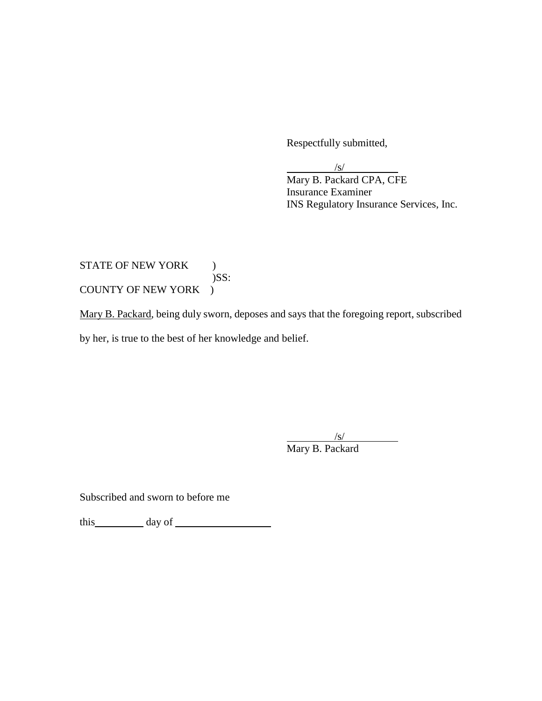Respectfully submitted,

 $\frac{|S|}{|S|}$ 

 $\overline{a}$ 

 Mary B. Packard CPA, CFE Insurance Examiner INS Regulatory Insurance Services, Inc.

## COUNTY OF NEW YORK ) STATE OF NEW YORK ) )SS:

COUNTY OF NEW YORK )<br><u>Mary B. Packard</u>, being duly sworn, deposes and says that the foregoing report, subscribed by her, is true to the best of her knowledge and belief.

> $\frac{|s|}{s}$ Mary B. Packard

Subscribed and sworn to before me

this day of